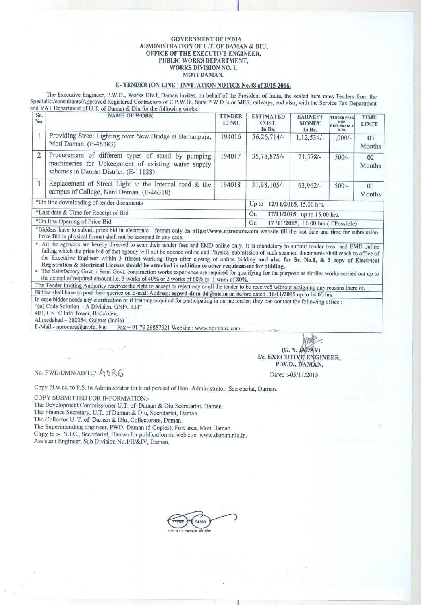#### GOVERNMENT OF INDIA ADMINISTRATION OF U.T. OF DAMAN & DIU, OFFICE OF THE EXECUTIVE ENGINEER, PUBLIC WORKS DEPARTMENT, WORKS DIVISION NO. I, MOTI DAMAN.

**11**

## **E- TENDER** (ON LINE) INVITATION NOTICE **No.48 of 2015-2016.**

The Executive **Engineer**, P.W.D., Works **Div.1, Daman invites**, on behalf of **the President of India**, **the sealed item rates** Tenders from the **Specialist**/**consultants**/Approved **Registered** Contractors of C.P.W.D., State P.W.D.'s or MES, **railways, and also, with the** Service Tax **Department** and VAT Department of U.T. of Daman & Diu for the following works.

| Sr.<br>No.                               | <b>NAME OF WORK</b>                                                                                                                               | <b>TENDER</b><br>ID NO.      | <b>ESTIMATED</b><br>COST.<br>In Rs.       | <b>EARNEST</b><br><b>MONEY</b><br>In Rs. | <b>TENDER FEES</b><br><b>NON</b><br><b>REFUNDABLE</b><br>In Rs. | <b>TIME</b><br><b>LIMIT</b> |  |
|------------------------------------------|---------------------------------------------------------------------------------------------------------------------------------------------------|------------------------------|-------------------------------------------|------------------------------------------|-----------------------------------------------------------------|-----------------------------|--|
|                                          | Providing Street Lighting over New Bridge at Bamanpuja,<br>Moti Daman. (E-46383)                                                                  | 194016                       | 56,26,714/-                               | 1,12,534/-                               | $1,000/-$                                                       | 03<br>Months                |  |
|                                          | Procurement of different types of stand by pumping<br>machineries for Upkeepment of existing water supply<br>schemes in Daman District. (E-11128) | 194017                       | 35,78,875/-                               | $71,578/-$                               | $500/-$                                                         | 02<br>Months                |  |
|                                          | Replacement of Street Light to the Internal road & the<br>campus of College, Nani Daman. (E-46318)                                                | 194018                       | 31,98,105/-                               | $63,962/-$                               | $500/-$                                                         | 03<br>Months                |  |
| *On line downloading of tender documents |                                                                                                                                                   | Up to 12/11/2015, 15.00 hrs. |                                           |                                          |                                                                 |                             |  |
| *Last date & Time for Receipt of Bid     |                                                                                                                                                   |                              | 17/11/2015, up to 15.00 hrs.<br>On        |                                          |                                                                 |                             |  |
| *On line Opening of Price Bid            |                                                                                                                                                   |                              | 17/11/2015, 16.00 hrs.(if Possible)<br>On |                                          |                                                                 |                             |  |

\*Bidders have to submit price bid in electronic format only on https://www.nproeure.com website till the last date and time for submission. Price Bid in physical format shall not be accepted in any case.

<sup>n</sup> All the agencies are hereby directed to scan their tender fees and EMD online only. It is mandatory to submit tender fees and EMD online failing which the price bid of that agency will not be opened online and Physical submission of such scanned documents shall reach to office of the Executive Engineer within 3 (three) working Days after closing of online bidding **and also for** Sr. No.!, & 3 copy of Electrical **Registration** & **Electrical License should be attached in addition to other requirement for bidding.**

<sup>n</sup> The Satisfactory Govt. / Semi Govt. construction works experience are required for qualifying for the purpose as similar works carried out up to the extend of required amount i.e. 3 works of 40% or 2 works of 60% or I work of 80%.

The Tender Inviting Authority reserves the right to accept or reject any or all the tender to be received without assigning any reasons there of. Bidder shall have to post their queries on E-mail Address: eepwd-dmn-dd@nic.in on before dated :16/11/2015 up to 14.00 hrs.

In case bidder needs any clarification or if training required for participating in online tender, they can contact the following office : "(n) Code Solution - A Division, GNFC Ltd" 403, GNFC Info Tower, Bodakdev,

Ahmedabad - 380054, Gujarat (India)

E-Mail:- n procure@gnvfc. Net Fax + 91 79 26857321 Website : www.nprocure.com

(G. N. JADAV) I/c. EXECUTIVE ENGINEER, P.W.D., DAMAN.

**No. PWD/DMN/AB/TC/ 4 0 \ 6 6 <b>Dated** :-05/11/2015.

Copy **fd.w.cs. to P.S** . **to Administrator for kind perusal of Hon** . **Administrator**, **Secretariat, Daman.**

COPY SUBMITTED FOR INFORMATION:-

**The Development Commissioner** U.T. of **Daman & Diu Secretariat, Daman.**

**The Finance Secretary** , **U.T. of Daman** & **Diu, Secretariat, Daman.**

The Collector **U. T. of Daman** & **Diu, Collectorate, Daman.**

**The Superintending Engineer**, **PWD, Daman** ( **5 Copies**), **Fort area, Moti Daman.**

**Copy** to :- N.I.C., **Secretariat**, **Daman for publication on web site www** . **daman** . **nic.in. Assistant Engineer**, **Sub Division** No.1/1I/&IV, **Daman.**

धारत